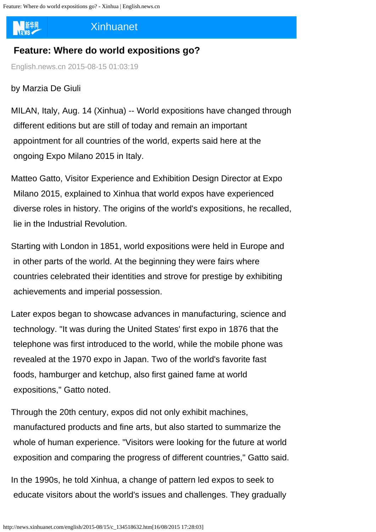新华网

## [Xinhuanet](javascript:)

## **Feature: Where do world expositions go?**

English.news.cn 2015-08-15 01:03:19

## by Marzia De Giuli

MILAN, Italy, Aug. 14 (Xinhua) -- World expositions have changed through different editions but are still of today and remain an important appointment for all countries of the world, experts said here at the ongoing Expo Milano 2015 in Italy.

Matteo Gatto, Visitor Experience and Exhibition Design Director at Expo Milano 2015, explained to Xinhua that world expos have experienced diverse roles in history. The origins of the world's expositions, he recalled, lie in the Industrial Revolution.

Starting with London in 1851, world expositions were held in Europe and in other parts of the world. At the beginning they were fairs where countries celebrated their identities and strove for prestige by exhibiting achievements and imperial possession.

Later expos began to showcase advances in manufacturing, science and technology. "It was during the [United States](http://search.news.cn/language/search.jspa?id=en&t1=0&t=1&ss=&btn=0&ct=Syria&n1=United+States&np=content)' first expo in 1876 that the telephone was first introduced to the world, while the mobile phone was revealed at the 1970 expo in [Japan](http://search.news.cn/language/search.jspa?id=en&t1=0&t=1&ss=&btn=0&ct=Greece&n1=Japan&np=content). Two of the world's favorite fast foods, hamburger and ketchup, also first gained fame at world expositions," Gatto noted.

Through the 20th century, expos did not only exhibit machines, manufactured products and fine arts, but also started to summarize the whole of human experience. "Visitors were looking for the future at world exposition and comparing the progress of different countries," Gatto said.

In the 1990s, he told Xinhua, a change of pattern led expos to seek to educate visitors about the world's issues and challenges. They gradually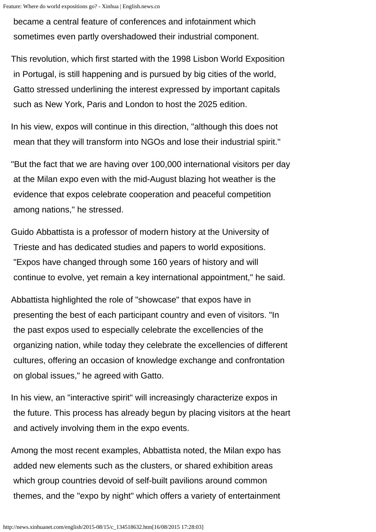became a central feature of conferences and infotainment which sometimes even partly overshadowed their industrial component.

This revolution, which first started with the 1998 Lisbon World Exposition in Portugal, is still happening and is pursued by big cities of the world, Gatto stressed underlining the interest expressed by important capitals such as New York, Paris and London to host the 2025 edition.

In his view, expos will continue in this direction, "although this does not mean that they will transform into NGOs and lose their industrial spirit."

"But the fact that we are having over 100,000 international visitors per day at the Milan expo even with the mid-August blazing hot weather is the evidence that expos celebrate cooperation and peaceful competition among nations," he stressed.

Guido Abbattista is a professor of modern history at the University of Trieste and has dedicated studies and papers to world expositions. "Expos have changed through some 160 years of history and will continue to evolve, yet remain a key international appointment," he said.

Abbattista highlighted the role of "showcase" that expos have in presenting the best of each participant country and even of visitors. "In the past expos used to especially celebrate the excellencies of the organizing nation, while today they celebrate the excellencies of different cultures, offering an occasion of knowledge exchange and confrontation on global issues," he agreed with Gatto.

In his view, an "interactive spirit" will increasingly characterize expos in the future. This process has already begun by placing visitors at the heart and actively involving them in the expo events.

Among the most recent examples, Abbattista noted, the Milan expo has added new elements such as the clusters, or shared exhibition areas which group countries devoid of self-built pavilions around common themes, and the "expo by night" which offers a variety of entertainment